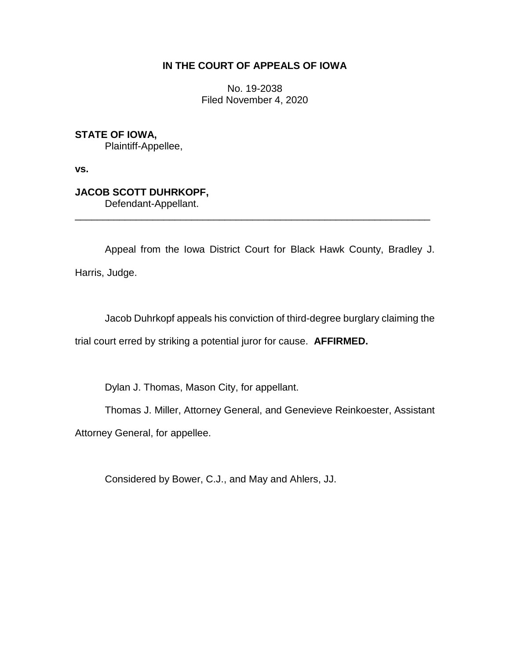## **IN THE COURT OF APPEALS OF IOWA**

No. 19-2038 Filed November 4, 2020

**STATE OF IOWA,**

Plaintiff-Appellee,

**vs.**

# **JACOB SCOTT DUHRKOPF,**

Defendant-Appellant.

Appeal from the Iowa District Court for Black Hawk County, Bradley J. Harris, Judge.

\_\_\_\_\_\_\_\_\_\_\_\_\_\_\_\_\_\_\_\_\_\_\_\_\_\_\_\_\_\_\_\_\_\_\_\_\_\_\_\_\_\_\_\_\_\_\_\_\_\_\_\_\_\_\_\_\_\_\_\_\_\_\_\_

Jacob Duhrkopf appeals his conviction of third-degree burglary claiming the trial court erred by striking a potential juror for cause. **AFFIRMED.**

Dylan J. Thomas, Mason City, for appellant.

Thomas J. Miller, Attorney General, and Genevieve Reinkoester, Assistant

Attorney General, for appellee.

Considered by Bower, C.J., and May and Ahlers, JJ.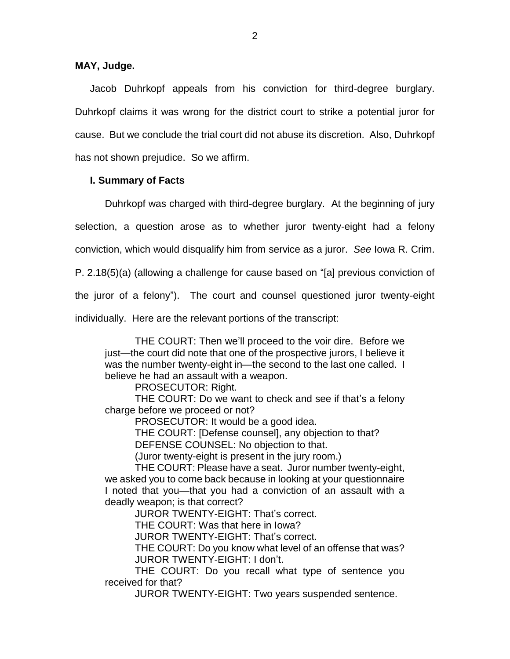## **MAY, Judge.**

Jacob Duhrkopf appeals from his conviction for third-degree burglary. Duhrkopf claims it was wrong for the district court to strike a potential juror for cause. But we conclude the trial court did not abuse its discretion. Also, Duhrkopf has not shown prejudice. So we affirm.

## **I. Summary of Facts**

Duhrkopf was charged with third-degree burglary. At the beginning of jury selection, a question arose as to whether juror twenty-eight had a felony conviction, which would disqualify him from service as a juror. *See* Iowa R. Crim. P. 2.18(5)(a) (allowing a challenge for cause based on "[a] previous conviction of the juror of a felony"). The court and counsel questioned juror twenty-eight individually. Here are the relevant portions of the transcript:

THE COURT: Then we'll proceed to the voir dire. Before we just—the court did note that one of the prospective jurors, I believe it was the number twenty-eight in—the second to the last one called. I believe he had an assault with a weapon.

PROSECUTOR: Right.

THE COURT: Do we want to check and see if that's a felony charge before we proceed or not?

PROSECUTOR: It would be a good idea.

THE COURT: [Defense counsel], any objection to that? DEFENSE COUNSEL: No objection to that.

(Juror twenty-eight is present in the jury room.)

THE COURT: Please have a seat. Juror number twenty-eight, we asked you to come back because in looking at your questionnaire I noted that you—that you had a conviction of an assault with a deadly weapon; is that correct?

JUROR TWENTY-EIGHT: That's correct.

THE COURT: Was that here in Iowa?

JUROR TWENTY-EIGHT: That's correct.

THE COURT: Do you know what level of an offense that was? JUROR TWENTY-EIGHT: I don't.

THE COURT: Do you recall what type of sentence you received for that?

JUROR TWENTY-EIGHT: Two years suspended sentence.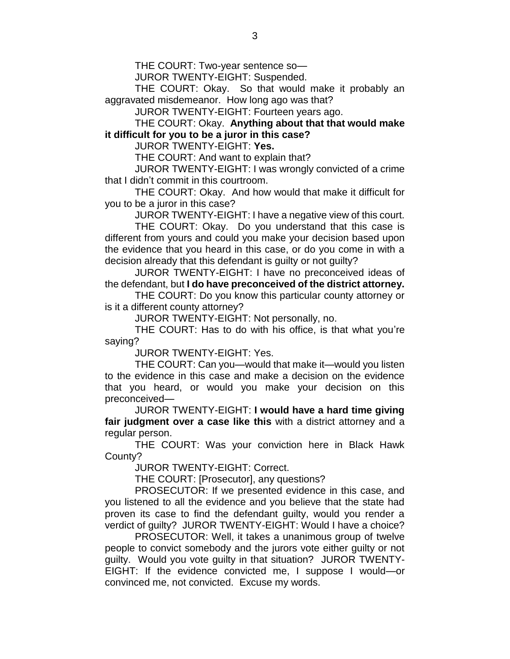THE COURT: Two-year sentence so—

JUROR TWENTY-EIGHT: Suspended.

THE COURT: Okay. So that would make it probably an aggravated misdemeanor. How long ago was that?

JUROR TWENTY-EIGHT: Fourteen years ago.

THE COURT: Okay. **Anything about that that would make it difficult for you to be a juror in this case?**

JUROR TWENTY-EIGHT: **Yes.**

THE COURT: And want to explain that?

JUROR TWENTY-EIGHT: I was wrongly convicted of a crime that I didn't commit in this courtroom.

THE COURT: Okay. And how would that make it difficult for you to be a juror in this case?

JUROR TWENTY-EIGHT: I have a negative view of this court.

THE COURT: Okay. Do you understand that this case is different from yours and could you make your decision based upon the evidence that you heard in this case, or do you come in with a decision already that this defendant is guilty or not guilty?

JUROR TWENTY-EIGHT: I have no preconceived ideas of the defendant, but **I do have preconceived of the district attorney.**

THE COURT: Do you know this particular county attorney or is it a different county attorney?

JUROR TWENTY-EIGHT: Not personally, no.

THE COURT: Has to do with his office, is that what you're saying?

JUROR TWENTY-EIGHT: Yes.

THE COURT: Can you—would that make it—would you listen to the evidence in this case and make a decision on the evidence that you heard, or would you make your decision on this preconceived—

JUROR TWENTY-EIGHT: **I would have a hard time giving fair judgment over a case like this** with a district attorney and a regular person.

THE COURT: Was your conviction here in Black Hawk County?

JUROR TWENTY-EIGHT: Correct.

THE COURT: [Prosecutor], any questions?

PROSECUTOR: If we presented evidence in this case, and you listened to all the evidence and you believe that the state had proven its case to find the defendant guilty, would you render a verdict of guilty? JUROR TWENTY-EIGHT: Would I have a choice?

PROSECUTOR: Well, it takes a unanimous group of twelve people to convict somebody and the jurors vote either guilty or not guilty. Would you vote guilty in that situation? JUROR TWENTY-EIGHT: If the evidence convicted me, I suppose I would—or convinced me, not convicted. Excuse my words.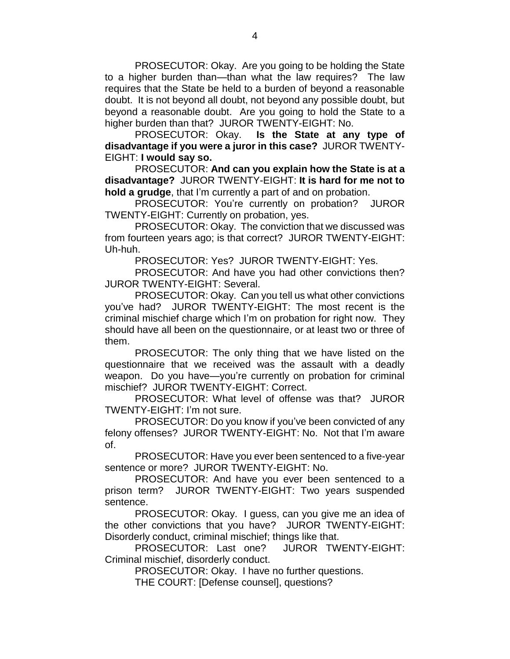PROSECUTOR: Okay. Are you going to be holding the State to a higher burden than—than what the law requires? The law requires that the State be held to a burden of beyond a reasonable doubt. It is not beyond all doubt, not beyond any possible doubt, but beyond a reasonable doubt. Are you going to hold the State to a higher burden than that? JUROR TWENTY-EIGHT: No.

PROSECUTOR: Okay. **Is the State at any type of disadvantage if you were a juror in this case?** JUROR TWENTY-EIGHT: **I would say so.**

PROSECUTOR: **And can you explain how the State is at a disadvantage?** JUROR TWENTY-EIGHT: **It is hard for me not to hold a grudge**, that I'm currently a part of and on probation.

PROSECUTOR: You're currently on probation? JUROR TWENTY-EIGHT: Currently on probation, yes.

PROSECUTOR: Okay. The conviction that we discussed was from fourteen years ago; is that correct? JUROR TWENTY-EIGHT: Uh-huh.

PROSECUTOR: Yes? JUROR TWENTY-EIGHT: Yes.

PROSECUTOR: And have you had other convictions then? JUROR TWENTY-EIGHT: Several.

PROSECUTOR: Okay. Can you tell us what other convictions you've had? JUROR TWENTY-EIGHT: The most recent is the criminal mischief charge which I'm on probation for right now. They should have all been on the questionnaire, or at least two or three of them.

PROSECUTOR: The only thing that we have listed on the questionnaire that we received was the assault with a deadly weapon. Do you have—you're currently on probation for criminal mischief? JUROR TWENTY-EIGHT: Correct.

PROSECUTOR: What level of offense was that? JUROR TWENTY-EIGHT: I'm not sure.

PROSECUTOR: Do you know if you've been convicted of any felony offenses? JUROR TWENTY-EIGHT: No. Not that I'm aware of.

PROSECUTOR: Have you ever been sentenced to a five-year sentence or more? JUROR TWENTY-EIGHT: No.

PROSECUTOR: And have you ever been sentenced to a prison term? JUROR TWENTY-EIGHT: Two years suspended sentence.

PROSECUTOR: Okay. I guess, can you give me an idea of the other convictions that you have? JUROR TWENTY-EIGHT: Disorderly conduct, criminal mischief; things like that.

PROSECUTOR: Last one? JUROR TWENTY-EIGHT: Criminal mischief, disorderly conduct.

PROSECUTOR: Okay. I have no further questions.

THE COURT: [Defense counsel], questions?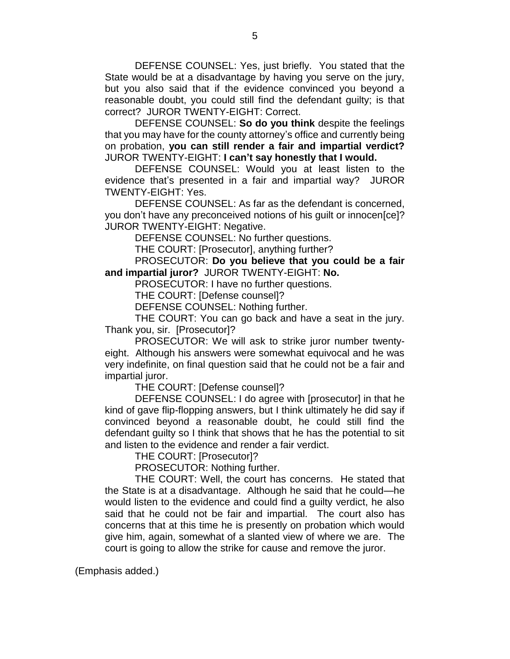DEFENSE COUNSEL: Yes, just briefly. You stated that the State would be at a disadvantage by having you serve on the jury, but you also said that if the evidence convinced you beyond a reasonable doubt, you could still find the defendant guilty; is that correct? JUROR TWENTY-EIGHT: Correct.

DEFENSE COUNSEL: **So do you think** despite the feelings that you may have for the county attorney's office and currently being on probation, **you can still render a fair and impartial verdict?** JUROR TWENTY-EIGHT: **I can't say honestly that I would.**

DEFENSE COUNSEL: Would you at least listen to the evidence that's presented in a fair and impartial way? JUROR TWENTY-EIGHT: Yes.

DEFENSE COUNSEL: As far as the defendant is concerned, you don't have any preconceived notions of his guilt or innocen[ce]? JUROR TWENTY-EIGHT: Negative.

DEFENSE COUNSEL: No further questions.

THE COURT: [Prosecutor], anything further?

PROSECUTOR: **Do you believe that you could be a fair and impartial juror?** JUROR TWENTY-EIGHT: **No.**

PROSECUTOR: I have no further questions.

THE COURT: [Defense counsel]?

DEFENSE COUNSEL: Nothing further.

THE COURT: You can go back and have a seat in the jury. Thank you, sir. [Prosecutor]?

PROSECUTOR: We will ask to strike juror number twentyeight. Although his answers were somewhat equivocal and he was very indefinite, on final question said that he could not be a fair and impartial juror.

THE COURT: [Defense counsel]?

DEFENSE COUNSEL: I do agree with [prosecutor] in that he kind of gave flip-flopping answers, but I think ultimately he did say if convinced beyond a reasonable doubt, he could still find the defendant guilty so I think that shows that he has the potential to sit and listen to the evidence and render a fair verdict.

THE COURT: [Prosecutor]?

PROSECUTOR: Nothing further.

THE COURT: Well, the court has concerns. He stated that the State is at a disadvantage. Although he said that he could—he would listen to the evidence and could find a guilty verdict, he also said that he could not be fair and impartial. The court also has concerns that at this time he is presently on probation which would give him, again, somewhat of a slanted view of where we are. The court is going to allow the strike for cause and remove the juror.

(Emphasis added.)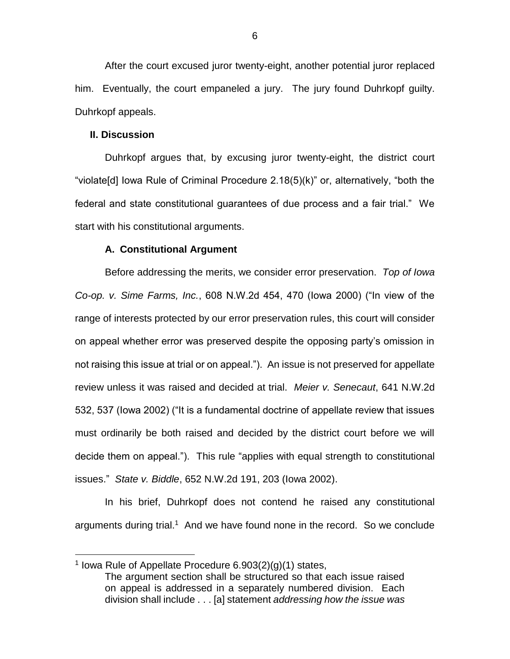After the court excused juror twenty-eight, another potential juror replaced him. Eventually, the court empaneled a jury. The jury found Duhrkopf guilty. Duhrkopf appeals.

#### **II. Discussion**

 $\overline{a}$ 

Duhrkopf argues that, by excusing juror twenty-eight, the district court "violate[d] Iowa Rule of Criminal Procedure 2.18(5)(k)" or, alternatively, "both the federal and state constitutional guarantees of due process and a fair trial." We start with his constitutional arguments.

#### **A. Constitutional Argument**

Before addressing the merits, we consider error preservation. *Top of Iowa Co-op. v. Sime Farms, Inc.*, 608 N.W.2d 454, 470 (Iowa 2000) ("In view of the range of interests protected by our error preservation rules, this court will consider on appeal whether error was preserved despite the opposing party's omission in not raising this issue at trial or on appeal."). An issue is not preserved for appellate review unless it was raised and decided at trial. *Meier v. Senecaut*, 641 N.W.2d 532, 537 (Iowa 2002) ("It is a fundamental doctrine of appellate review that issues must ordinarily be both raised and decided by the district court before we will decide them on appeal."). This rule "applies with equal strength to constitutional issues." *State v. Biddle*, 652 N.W.2d 191, 203 (Iowa 2002).

In his brief, Duhrkopf does not contend he raised any constitutional arguments during trial.<sup>1</sup> And we have found none in the record. So we conclude

<sup>&</sup>lt;sup>1</sup> Iowa Rule of Appellate Procedure  $6.903(2)(g)(1)$  states, The argument section shall be structured so that each issue raised on appeal is addressed in a separately numbered division. Each division shall include . . . [a] statement *addressing how the issue was*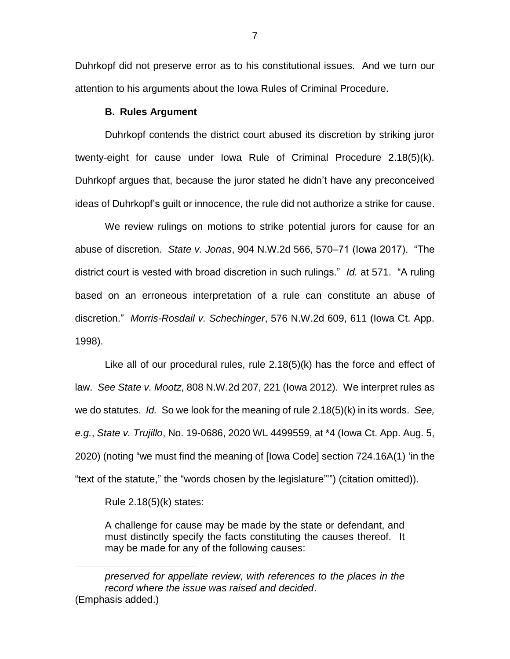Duhrkopf did not preserve error as to his constitutional issues. And we turn our attention to his arguments about the Iowa Rules of Criminal Procedure.

### **B. Rules Argument**

Duhrkopf contends the district court abused its discretion by striking juror twenty-eight for cause under Iowa Rule of Criminal Procedure 2.18(5)(k). Duhrkopf argues that, because the juror stated he didn't have any preconceived ideas of Duhrkopf's guilt or innocence, the rule did not authorize a strike for cause.

We review rulings on motions to strike potential jurors for cause for an abuse of discretion. *State v. Jonas*, 904 N.W.2d 566, 570–71 (Iowa 2017). "The district court is vested with broad discretion in such rulings." *Id.* at 571. "A ruling based on an erroneous interpretation of a rule can constitute an abuse of discretion." *Morris-Rosdail v. Schechinger*, 576 N.W.2d 609, 611 (Iowa Ct. App. 1998).

Like all of our procedural rules, rule 2.18(5)(k) has the force and effect of law. *See State v. Mootz*, 808 N.W.2d 207, 221 (Iowa 2012). We interpret rules as we do statutes. *Id.* So we look for the meaning of rule 2.18(5)(k) in its words. *See, e.g.*, *State v. Trujillo*, No. 19-0686, 2020 WL 4499559, at \*4 (Iowa Ct. App. Aug. 5, 2020) (noting "we must find the meaning of [Iowa Code] section 724.16A(1) 'in the "text of the statute," the "words chosen by the legislature"'") (citation omitted)).

Rule 2.18(5)(k) states:

 $\overline{a}$ 

A challenge for cause may be made by the state or defendant, and must distinctly specify the facts constituting the causes thereof. It may be made for any of the following causes:

*preserved for appellate review, with references to the places in the record where the issue was raised and decided*. (Emphasis added.)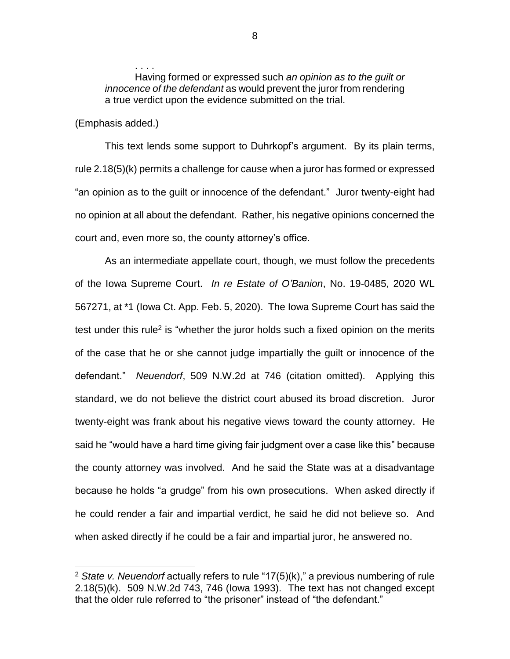Having formed or expressed such *an opinion as to the guilt or innocence of the defendant* as would prevent the juror from rendering a true verdict upon the evidence submitted on the trial.

### (Emphasis added.)

 $\overline{a}$ 

. . . .

This text lends some support to Duhrkopf's argument. By its plain terms, rule 2.18(5)(k) permits a challenge for cause when a juror has formed or expressed "an opinion as to the guilt or innocence of the defendant." Juror twenty-eight had no opinion at all about the defendant. Rather, his negative opinions concerned the court and, even more so, the county attorney's office.

As an intermediate appellate court, though, we must follow the precedents of the Iowa Supreme Court. *In re Estate of O'Banion*, No. 19-0485, 2020 WL 567271, at \*1 (Iowa Ct. App. Feb. 5, 2020). The Iowa Supreme Court has said the test under this rule<sup>2</sup> is "whether the juror holds such a fixed opinion on the merits of the case that he or she cannot judge impartially the guilt or innocence of the defendant." *Neuendorf*, 509 N.W.2d at 746 (citation omitted). Applying this standard, we do not believe the district court abused its broad discretion. Juror twenty-eight was frank about his negative views toward the county attorney. He said he "would have a hard time giving fair judgment over a case like this" because the county attorney was involved. And he said the State was at a disadvantage because he holds "a grudge" from his own prosecutions. When asked directly if he could render a fair and impartial verdict, he said he did not believe so. And when asked directly if he could be a fair and impartial juror, he answered no.

<sup>2</sup> *State v. Neuendorf* actually refers to rule "17(5)(k)," a previous numbering of rule 2.18(5)(k). 509 N.W.2d 743, 746 (Iowa 1993). The text has not changed except that the older rule referred to "the prisoner" instead of "the defendant."